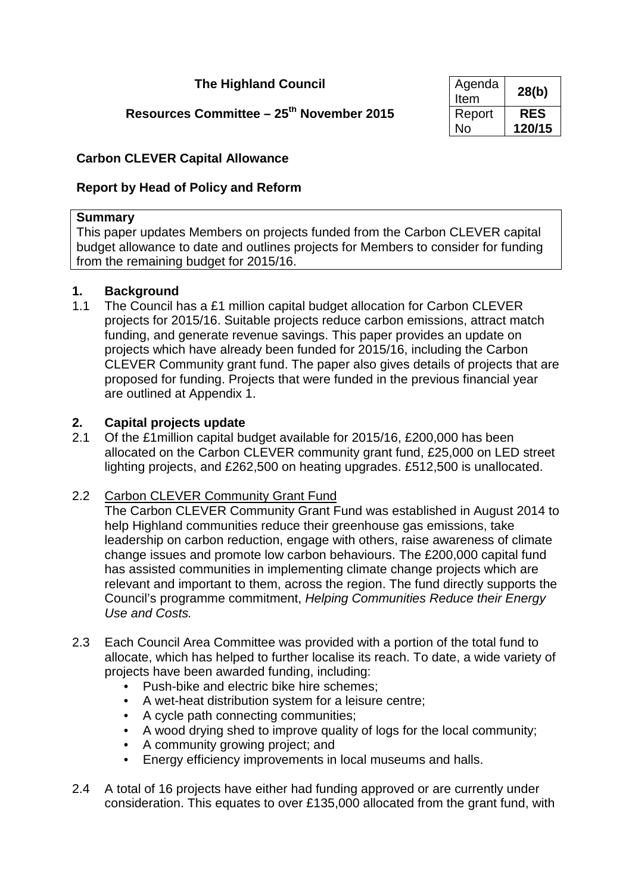# **The Highland Council**

# **Resources Committee – 25<sup>th</sup> November 2015**

| Agenda<br>Item | 28(b)      |
|----------------|------------|
| Report         | <b>RES</b> |
| No             | 120/15     |

## **Carbon CLEVER Capital Allowance**

## **Report by Head of Policy and Reform**

### **Summary**

This paper updates Members on projects funded from the Carbon CLEVER capital budget allowance to date and outlines projects for Members to consider for funding from the remaining budget for 2015/16.

### **1. Background**

1.1 The Council has a £1 million capital budget allocation for Carbon CLEVER projects for 2015/16. Suitable projects reduce carbon emissions, attract match funding, and generate revenue savings. This paper provides an update on projects which have already been funded for 2015/16, including the Carbon CLEVER Community grant fund. The paper also gives details of projects that are proposed for funding. Projects that were funded in the previous financial year are outlined at Appendix 1.

### **2. Capital projects update**

2.1 Of the £1million capital budget available for 2015/16, £200,000 has been allocated on the Carbon CLEVER community grant fund, £25,000 on LED street lighting projects, and £262,500 on heating upgrades. £512,500 is unallocated.

## 2.2 Carbon CLEVER Community Grant Fund

The Carbon CLEVER Community Grant Fund was established in August 2014 to help Highland communities reduce their greenhouse gas emissions, take leadership on carbon reduction, engage with others, raise awareness of climate change issues and promote low carbon behaviours. The £200,000 capital fund has assisted communities in implementing climate change projects which are relevant and important to them, across the region. The fund directly supports the Council's programme commitment, *Helping Communities Reduce their Energy Use and Costs.*

- 2.3 Each Council Area Committee was provided with a portion of the total fund to allocate, which has helped to further localise its reach. To date, a wide variety of projects have been awarded funding, including:
	- Push-bike and electric bike hire schemes:
	- A wet-heat distribution system for a leisure centre;
	- A cycle path connecting communities;
	- A wood drying shed to improve quality of logs for the local community;
	- A community growing project; and
	- Energy efficiency improvements in local museums and halls.
- 2.4 A total of 16 projects have either had funding approved or are currently under consideration. This equates to over £135,000 allocated from the grant fund, with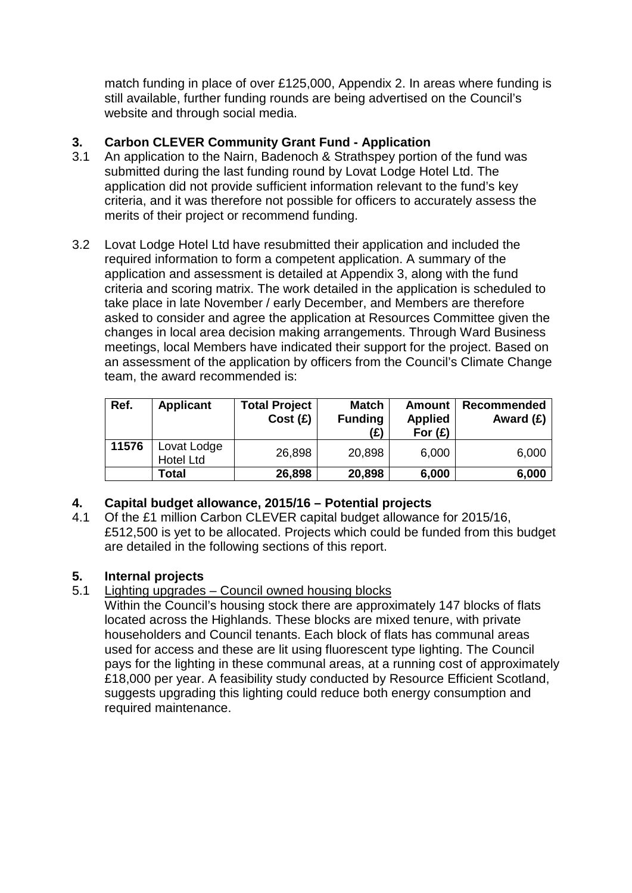match funding in place of over £125,000, Appendix 2. In areas where funding is still available, further funding rounds are being advertised on the Council's website and through social media.

# **3. Carbon CLEVER Community Grant Fund - Application**

- 3.1 An application to the Nairn, Badenoch & Strathspey portion of the fund was submitted during the last funding round by Lovat Lodge Hotel Ltd. The application did not provide sufficient information relevant to the fund's key criteria, and it was therefore not possible for officers to accurately assess the merits of their project or recommend funding.
- 3.2 Lovat Lodge Hotel Ltd have resubmitted their application and included the required information to form a competent application. A summary of the application and assessment is detailed at Appendix 3, along with the fund criteria and scoring matrix. The work detailed in the application is scheduled to take place in late November / early December, and Members are therefore asked to consider and agree the application at Resources Committee given the changes in local area decision making arrangements. Through Ward Business meetings, local Members have indicated their support for the project. Based on an assessment of the application by officers from the Council's Climate Change team, the award recommended is:

| Ref.  | <b>Applicant</b>                | <b>Total Project</b><br>Cost(E) | <b>Match</b><br><b>Funding</b><br>(£) | <b>Amount</b><br><b>Applied</b><br>For $(E)$ | <b>Recommended</b><br>Award $(E)$ |
|-------|---------------------------------|---------------------------------|---------------------------------------|----------------------------------------------|-----------------------------------|
| 11576 | Lovat Lodge<br><b>Hotel Ltd</b> | 26,898                          | 20,898                                | 6,000                                        | 6,000                             |
|       | Total                           | 26,898                          | 20,898                                | 6,000                                        | 6,000                             |

# **4. Capital budget allowance, 2015/16 – Potential projects**

4.1 Of the £1 million Carbon CLEVER capital budget allowance for 2015/16, £512,500 is yet to be allocated. Projects which could be funded from this budget are detailed in the following sections of this report.

# **5. Internal projects**

## 5.1 Lighting upgrades – Council owned housing blocks

Within the Council's housing stock there are approximately 147 blocks of flats located across the Highlands. These blocks are mixed tenure, with private householders and Council tenants. Each block of flats has communal areas used for access and these are lit using fluorescent type lighting. The Council pays for the lighting in these communal areas, at a running cost of approximately £18,000 per year. A feasibility study conducted by Resource Efficient Scotland, suggests upgrading this lighting could reduce both energy consumption and required maintenance.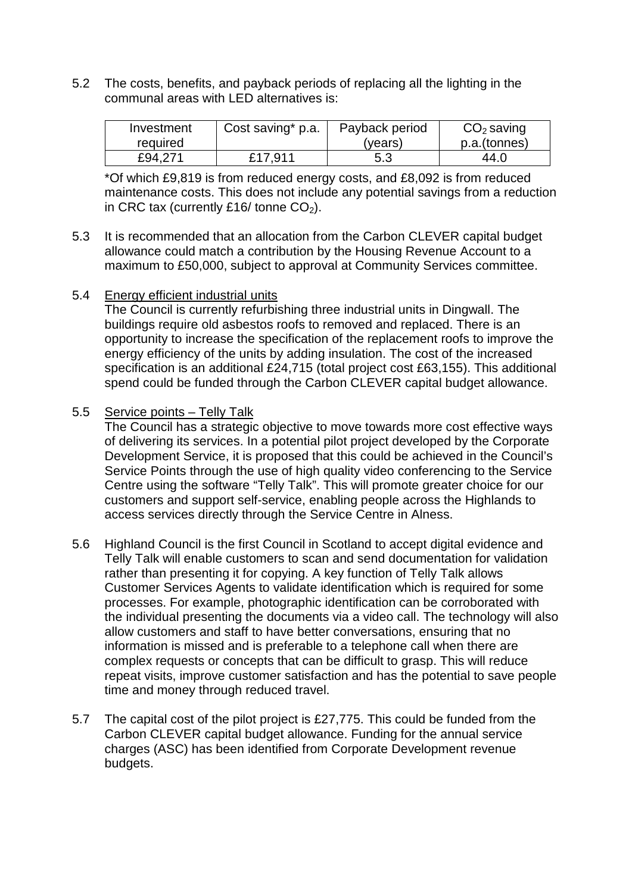5.2 The costs, benefits, and payback periods of replacing all the lighting in the communal areas with LED alternatives is:

| Investment | Cost saving* p.a. | Payback period | $CO2$ saving |
|------------|-------------------|----------------|--------------|
| required   |                   | (years)        | p.a.(tonnes) |
| £94.271    | £17.911           | 5.3            | 44.0         |

\*Of which £9,819 is from reduced energy costs, and £8,092 is from reduced maintenance costs. This does not include any potential savings from a reduction in CRC tax (currently £16/ tonne  $CO<sub>2</sub>$ ).

- 5.3 It is recommended that an allocation from the Carbon CLEVER capital budget allowance could match a contribution by the Housing Revenue Account to a maximum to £50,000, subject to approval at Community Services committee.
- 5.4 Energy efficient industrial units

The Council is currently refurbishing three industrial units in Dingwall. The buildings require old asbestos roofs to removed and replaced. There is an opportunity to increase the specification of the replacement roofs to improve the energy efficiency of the units by adding insulation. The cost of the increased specification is an additional £24,715 (total project cost £63,155). This additional spend could be funded through the Carbon CLEVER capital budget allowance.

### 5.5 Service points – Telly Talk

The Council has a strategic objective to move towards more cost effective ways of delivering its services. In a potential pilot project developed by the Corporate Development Service, it is proposed that this could be achieved in the Council's Service Points through the use of high quality video conferencing to the Service Centre using the software "Telly Talk". This will promote greater choice for our customers and support self-service, enabling people across the Highlands to access services directly through the Service Centre in Alness.

- 5.6 Highland Council is the first Council in Scotland to accept digital evidence and Telly Talk will enable customers to scan and send documentation for validation rather than presenting it for copying. A key function of Telly Talk allows Customer Services Agents to validate identification which is required for some processes. For example, photographic identification can be corroborated with the individual presenting the documents via a video call. The technology will also allow customers and staff to have better conversations, ensuring that no information is missed and is preferable to a telephone call when there are complex requests or concepts that can be difficult to grasp. This will reduce repeat visits, improve customer satisfaction and has the potential to save people time and money through reduced travel.
- 5.7 The capital cost of the pilot project is £27,775. This could be funded from the Carbon CLEVER capital budget allowance. Funding for the annual service charges (ASC) has been identified from Corporate Development revenue budgets.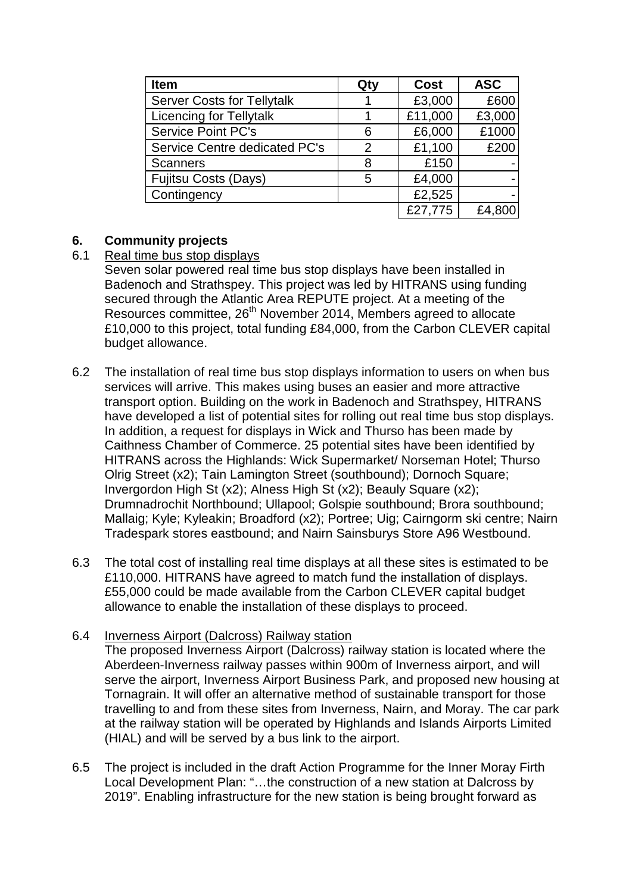| Item                              | Qty | <b>Cost</b> | <b>ASC</b> |
|-----------------------------------|-----|-------------|------------|
| <b>Server Costs for Tellytalk</b> |     | £3,000      | £600       |
| <b>Licencing for Tellytalk</b>    |     | £11,000     | £3,000     |
| <b>Service Point PC's</b>         | 6   | £6,000      | £1000      |
| Service Centre dedicated PC's     | 2   | £1,100      | £200       |
| <b>Scanners</b>                   | 8   | £150        |            |
| <b>Fujitsu Costs (Days)</b>       | 5   | £4,000      |            |
| Contingency                       |     | £2,525      |            |
|                                   |     | £27,775     | £4,800     |

# **6. Community projects**

## Real time bus stop displays

Seven solar powered real time bus stop displays have been installed in Badenoch and Strathspey. This project was led by HITRANS using funding secured through the Atlantic Area REPUTE project. At a meeting of the Resources committee, 26<sup>th</sup> November 2014, Members agreed to allocate £10,000 to this project, total funding £84,000, from the Carbon CLEVER capital budget allowance.

- 6.2 The installation of real time bus stop displays information to users on when bus services will arrive. This makes using buses an easier and more attractive transport option. Building on the work in Badenoch and Strathspey, HITRANS have developed a list of potential sites for rolling out real time bus stop displays. In addition, a request for displays in Wick and Thurso has been made by Caithness Chamber of Commerce. 25 potential sites have been identified by HITRANS across the Highlands: Wick Supermarket/ Norseman Hotel; Thurso Olrig Street (x2); Tain Lamington Street (southbound); Dornoch Square; Invergordon High St (x2); Alness High St (x2); Beauly Square (x2); Drumnadrochit Northbound; Ullapool; Golspie southbound; Brora southbound; Mallaig; Kyle; Kyleakin; Broadford (x2); Portree; Uig; Cairngorm ski centre; Nairn Tradespark stores eastbound; and Nairn Sainsburys Store A96 Westbound.
- 6.3 The total cost of installing real time displays at all these sites is estimated to be £110,000. HITRANS have agreed to match fund the installation of displays. £55,000 could be made available from the Carbon CLEVER capital budget allowance to enable the installation of these displays to proceed.

## 6.4 Inverness Airport (Dalcross) Railway station

The proposed Inverness Airport (Dalcross) railway station is located where the Aberdeen-Inverness railway passes within 900m of Inverness airport, and will serve the airport, Inverness Airport Business Park, and proposed new housing at Tornagrain. It will offer an alternative method of sustainable transport for those travelling to and from these sites from Inverness, Nairn, and Moray. The car park at the railway station will be operated by Highlands and Islands Airports Limited (HIAL) and will be served by a bus link to the airport.

6.5 The project is included in the draft Action Programme for the Inner Moray Firth Local Development Plan: "…the construction of a new station at Dalcross by 2019". Enabling infrastructure for the new station is being brought forward as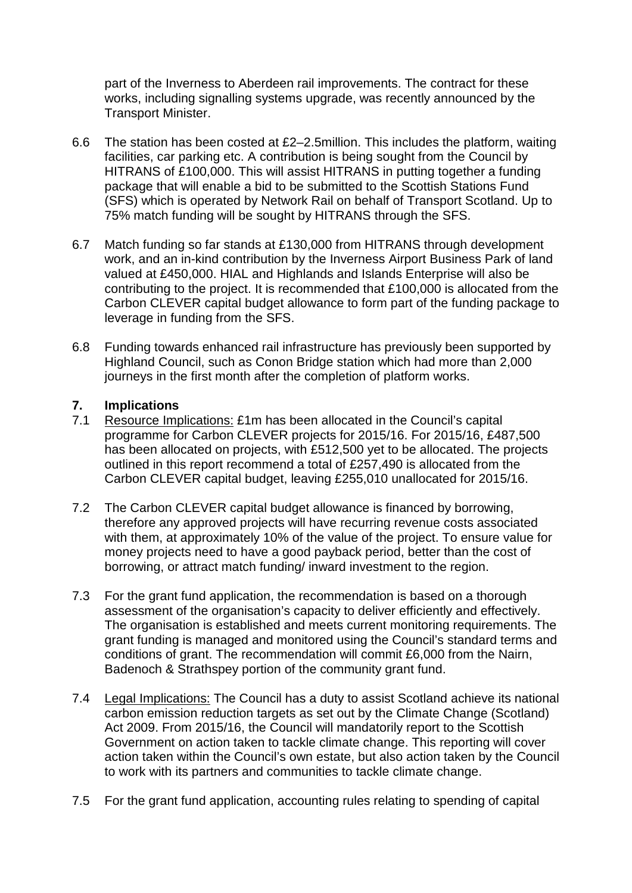part of the Inverness to Aberdeen rail improvements. The contract for these works, including signalling systems upgrade, was recently announced by the Transport Minister.

- 6.6 The station has been costed at  $E2-2.5$ million. This includes the platform, waiting facilities, car parking etc. A contribution is being sought from the Council by HITRANS of £100,000. This will assist HITRANS in putting together a funding package that will enable a bid to be submitted to the Scottish Stations Fund (SFS) which is operated by Network Rail on behalf of Transport Scotland. Up to 75% match funding will be sought by HITRANS through the SFS.
- 6.7 Match funding so far stands at £130,000 from HITRANS through development work, and an in-kind contribution by the Inverness Airport Business Park of land valued at £450,000. HIAL and Highlands and Islands Enterprise will also be contributing to the project. It is recommended that £100,000 is allocated from the Carbon CLEVER capital budget allowance to form part of the funding package to leverage in funding from the SFS.
- 6.8 Funding towards enhanced rail infrastructure has previously been supported by Highland Council, such as Conon Bridge station which had more than 2,000 journeys in the first month after the completion of platform works.

# **7. Implications**

- Resource Implications: £1m has been allocated in the Council's capital programme for Carbon CLEVER projects for 2015/16. For 2015/16, £487,500 has been allocated on projects, with £512,500 yet to be allocated. The projects outlined in this report recommend a total of £257,490 is allocated from the Carbon CLEVER capital budget, leaving £255,010 unallocated for 2015/16.
- 7.2 The Carbon CLEVER capital budget allowance is financed by borrowing, therefore any approved projects will have recurring revenue costs associated with them, at approximately 10% of the value of the project. To ensure value for money projects need to have a good payback period, better than the cost of borrowing, or attract match funding/ inward investment to the region.
- 7.3 For the grant fund application, the recommendation is based on a thorough assessment of the organisation's capacity to deliver efficiently and effectively. The organisation is established and meets current monitoring requirements. The grant funding is managed and monitored using the Council's standard terms and conditions of grant. The recommendation will commit £6,000 from the Nairn, Badenoch & Strathspey portion of the community grant fund.
- 7.4 Legal Implications: The Council has a duty to assist Scotland achieve its national carbon emission reduction targets as set out by the Climate Change (Scotland) Act 2009. From 2015/16, the Council will mandatorily report to the Scottish Government on action taken to tackle climate change. This reporting will cover action taken within the Council's own estate, but also action taken by the Council to work with its partners and communities to tackle climate change.
- 7.5 For the grant fund application, accounting rules relating to spending of capital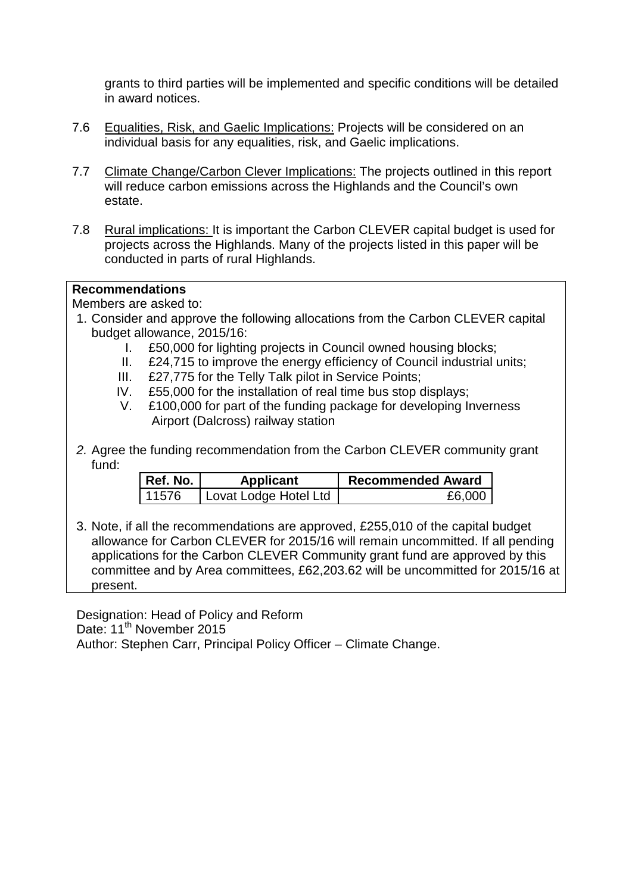grants to third parties will be implemented and specific conditions will be detailed in award notices.

- 7.6 Equalities, Risk, and Gaelic Implications: Projects will be considered on an individual basis for any equalities, risk, and Gaelic implications.
- 7.7 Climate Change/Carbon Clever Implications: The projects outlined in this report will reduce carbon emissions across the Highlands and the Council's own estate.
- 7.8 Rural implications: It is important the Carbon CLEVER capital budget is used for projects across the Highlands. Many of the projects listed in this paper will be conducted in parts of rural Highlands.

### **Recommendations**

Members are asked to:

- 1. Consider and approve the following allocations from the Carbon CLEVER capital budget allowance, 2015/16:
	- I. £50,000 for lighting projects in Council owned housing blocks;
	- II. £24,715 to improve the energy efficiency of Council industrial units;
	- III. £27,775 for the Telly Talk pilot in Service Points;
	- IV. £55,000 for the installation of real time bus stop displays;
	- V. £100,000 for part of the funding package for developing Inverness Airport (Dalcross) railway station
- *2.* Agree the funding recommendation from the Carbon CLEVER community grant fund:

| Ref. No. | <b>Applicant</b>      | <b>Recommended Award</b> |
|----------|-----------------------|--------------------------|
| l 11576  | Lovat Lodge Hotel Ltd | £6,000                   |

3. Note, if all the recommendations are approved, £255,010 of the capital budget allowance for Carbon CLEVER for 2015/16 will remain uncommitted. If all pending applications for the Carbon CLEVER Community grant fund are approved by this committee and by Area committees, £62,203.62 will be uncommitted for 2015/16 at present.

Designation: Head of Policy and Reform Date: 11<sup>th</sup> November 2015 Author: Stephen Carr, Principal Policy Officer – Climate Change.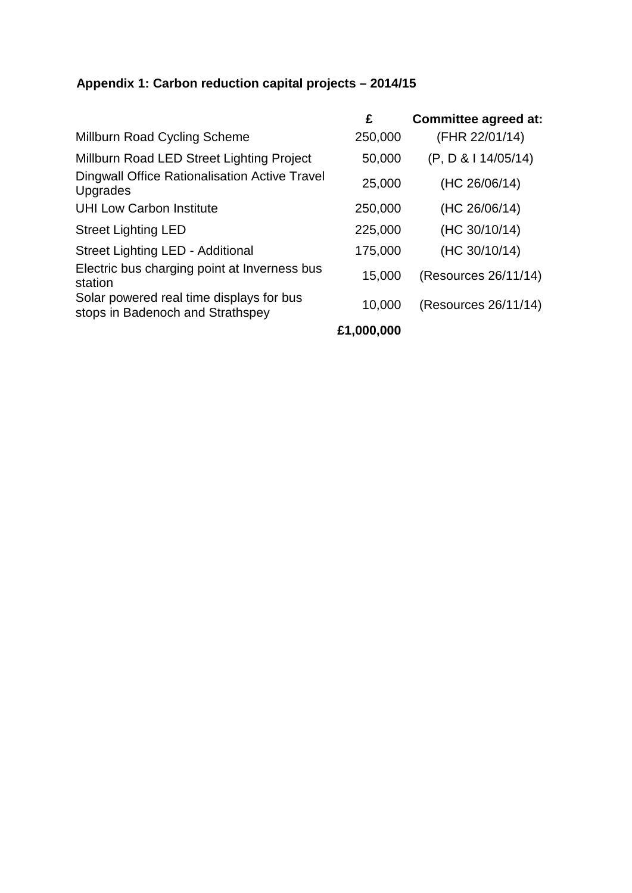# **Appendix 1: Carbon reduction capital projects – 2014/15**

|                                                                              | £          | <b>Committee agreed at:</b> |
|------------------------------------------------------------------------------|------------|-----------------------------|
| Millburn Road Cycling Scheme                                                 | 250,000    | (FHR 22/01/14)              |
| Millburn Road LED Street Lighting Project                                    | 50,000     | (P, D & 14/05/14)           |
| <b>Dingwall Office Rationalisation Active Travel</b><br>Upgrades             | 25,000     | (HC 26/06/14)               |
| <b>UHI Low Carbon Institute</b>                                              | 250,000    | (HC 26/06/14)               |
| <b>Street Lighting LED</b>                                                   | 225,000    | (HC 30/10/14)               |
| Street Lighting LED - Additional                                             | 175,000    | (HC 30/10/14)               |
| Electric bus charging point at Inverness bus<br>station                      | 15,000     | (Resources 26/11/14)        |
| Solar powered real time displays for bus<br>stops in Badenoch and Strathspey | 10,000     | (Resources 26/11/14)        |
|                                                                              | £1,000,000 |                             |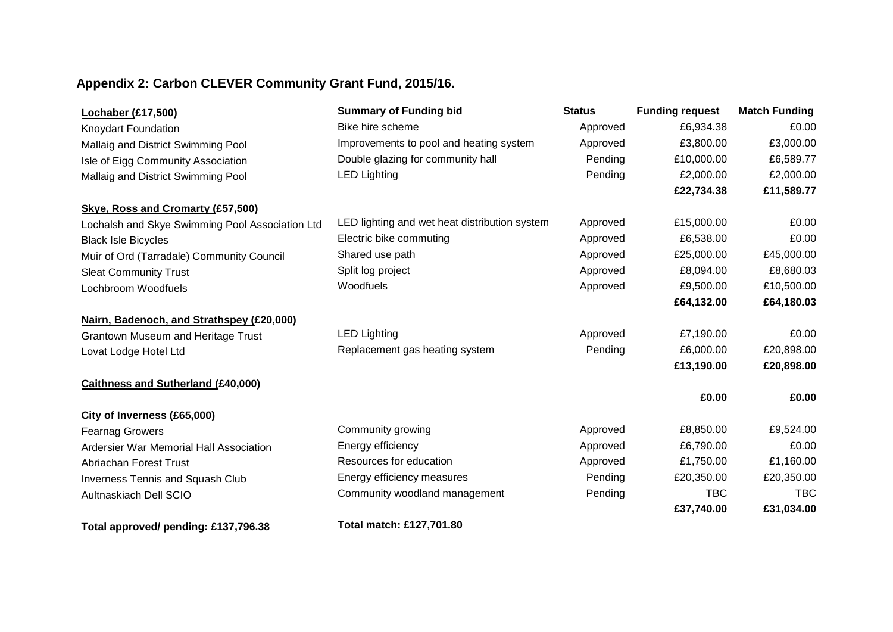# **Appendix 2: Carbon CLEVER Community Grant Fund, 2015/16.**

| <b>Lochaber (£17,500)</b>                       | <b>Summary of Funding bid</b>                 | <b>Status</b> | <b>Funding request</b> | <b>Match Funding</b> |
|-------------------------------------------------|-----------------------------------------------|---------------|------------------------|----------------------|
| Knoydart Foundation                             | Bike hire scheme                              | Approved      | £6,934.38              | £0.00                |
| Mallaig and District Swimming Pool              | Improvements to pool and heating system       | Approved      | £3,800.00              | £3,000.00            |
| Isle of Eigg Community Association              | Double glazing for community hall             | Pending       | £10,000.00             | £6,589.77            |
| Mallaig and District Swimming Pool              | <b>LED Lighting</b>                           | Pending       | £2,000.00              | £2,000.00            |
|                                                 |                                               |               | £22,734.38             | £11,589.77           |
| Skye, Ross and Cromarty (£57,500)               |                                               |               |                        |                      |
| Lochalsh and Skye Swimming Pool Association Ltd | LED lighting and wet heat distribution system | Approved      | £15,000.00             | £0.00                |
| <b>Black Isle Bicycles</b>                      | Electric bike commuting                       | Approved      | £6,538.00              | £0.00                |
| Muir of Ord (Tarradale) Community Council       | Shared use path                               | Approved      | £25,000.00             | £45,000.00           |
| <b>Sleat Community Trust</b>                    | Split log project                             | Approved      | £8,094.00              | £8,680.03            |
| Lochbroom Woodfuels                             | Woodfuels                                     | Approved      | £9,500.00              | £10,500.00           |
|                                                 |                                               |               | £64,132.00             | £64,180.03           |
| Nairn, Badenoch, and Strathspey (£20,000)       |                                               |               |                        |                      |
| <b>Grantown Museum and Heritage Trust</b>       | <b>LED Lighting</b>                           | Approved      | £7,190.00              | £0.00                |
| Lovat Lodge Hotel Ltd                           | Replacement gas heating system                | Pending       | £6,000.00              | £20,898.00           |
|                                                 |                                               |               | £13,190.00             | £20,898.00           |
| <b>Caithness and Sutherland (£40,000)</b>       |                                               |               |                        |                      |
|                                                 |                                               |               | £0.00                  | £0.00                |
| City of Inverness (£65,000)                     |                                               |               |                        |                      |
| <b>Fearnag Growers</b>                          | Community growing                             | Approved      | £8,850.00              | £9,524.00            |
| Ardersier War Memorial Hall Association         | Energy efficiency                             | Approved      | £6,790.00              | £0.00                |
| <b>Abriachan Forest Trust</b>                   | Resources for education                       | Approved      | £1,750.00              | £1,160.00            |
| <b>Inverness Tennis and Squash Club</b>         | Energy efficiency measures                    | Pending       | £20,350.00             | £20,350.00           |
| Aultnaskiach Dell SCIO                          | Community woodland management                 | Pending       | <b>TBC</b>             | <b>TBC</b>           |
|                                                 |                                               |               | £37,740.00             | £31,034.00           |
| Total approved/ pending: £137,796.38            | Total match: £127,701.80                      |               |                        |                      |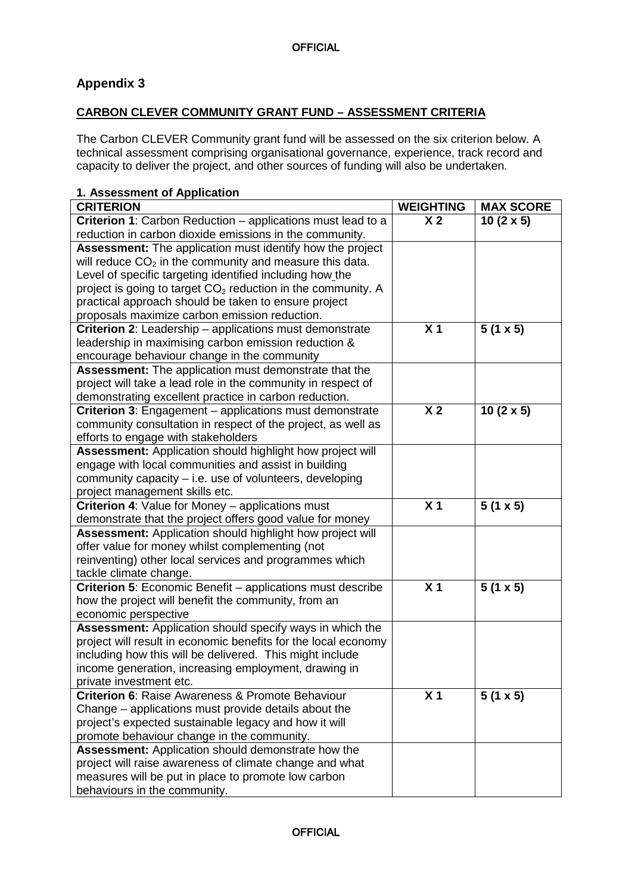# **Appendix 3**

### **CARBON CLEVER COMMUNITY GRANT FUND – ASSESSMENT CRITERIA**

The Carbon CLEVER Community grant fund will be assessed on the six criterion below. A technical assessment comprising organisational governance, experience, track record and capacity to deliver the project, and other sources of funding will also be undertaken.

### **1. Assessment of Application**

| <b>CRITERION</b>                                                  | <b>WEIGHTING</b> | <b>MAX SCORE</b> |
|-------------------------------------------------------------------|------------------|------------------|
| Criterion 1: Carbon Reduction - applications must lead to a       | X <sub>2</sub>   | $10(2 \times 5)$ |
| reduction in carbon dioxide emissions in the community.           |                  |                  |
| <b>Assessment:</b> The application must identify how the project  |                  |                  |
| will reduce $CO2$ in the community and measure this data.         |                  |                  |
| Level of specific targeting identified including how the          |                  |                  |
| project is going to target $CO2$ reduction in the community. A    |                  |                  |
| practical approach should be taken to ensure project              |                  |                  |
| proposals maximize carbon emission reduction.                     |                  |                  |
| Criterion 2: Leadership - applications must demonstrate           | X <sub>1</sub>   | $5(1 \times 5)$  |
| leadership in maximising carbon emission reduction &              |                  |                  |
| encourage behaviour change in the community                       |                  |                  |
| Assessment: The application must demonstrate that the             |                  |                  |
| project will take a lead role in the community in respect of      |                  |                  |
| demonstrating excellent practice in carbon reduction.             |                  |                  |
| Criterion 3: Engagement - applications must demonstrate           | X <sub>2</sub>   | $10(2 \times 5)$ |
| community consultation in respect of the project, as well as      |                  |                  |
| efforts to engage with stakeholders                               |                  |                  |
| Assessment: Application should highlight how project will         |                  |                  |
| engage with local communities and assist in building              |                  |                  |
| community capacity - i.e. use of volunteers, developing           |                  |                  |
| project management skills etc.                                    |                  |                  |
| <b>Criterion 4: Value for Money - applications must</b>           | X <sub>1</sub>   | $5(1 \times 5)$  |
| demonstrate that the project offers good value for money          |                  |                  |
| <b>Assessment:</b> Application should highlight how project will  |                  |                  |
| offer value for money whilst complementing (not                   |                  |                  |
| reinventing) other local services and programmes which            |                  |                  |
| tackle climate change.                                            |                  |                  |
| <b>Criterion 5:</b> Economic Benefit – applications must describe | X <sub>1</sub>   | $5(1 \times 5)$  |
| how the project will benefit the community, from an               |                  |                  |
| economic perspective                                              |                  |                  |
| Assessment: Application should specify ways in which the          |                  |                  |
| project will result in economic benefits for the local economy    |                  |                  |
| including how this will be delivered. This might include          |                  |                  |
| income generation, increasing employment, drawing in              |                  |                  |
| private investment etc.                                           |                  |                  |
| <b>Criterion 6: Raise Awareness &amp; Promote Behaviour</b>       | X <sub>1</sub>   | $5(1 \times 5)$  |
| Change – applications must provide details about the              |                  |                  |
| project's expected sustainable legacy and how it will             |                  |                  |
| promote behaviour change in the community.                        |                  |                  |
| <b>Assessment: Application should demonstrate how the</b>         |                  |                  |
| project will raise awareness of climate change and what           |                  |                  |
| measures will be put in place to promote low carbon               |                  |                  |
| behaviours in the community.                                      |                  |                  |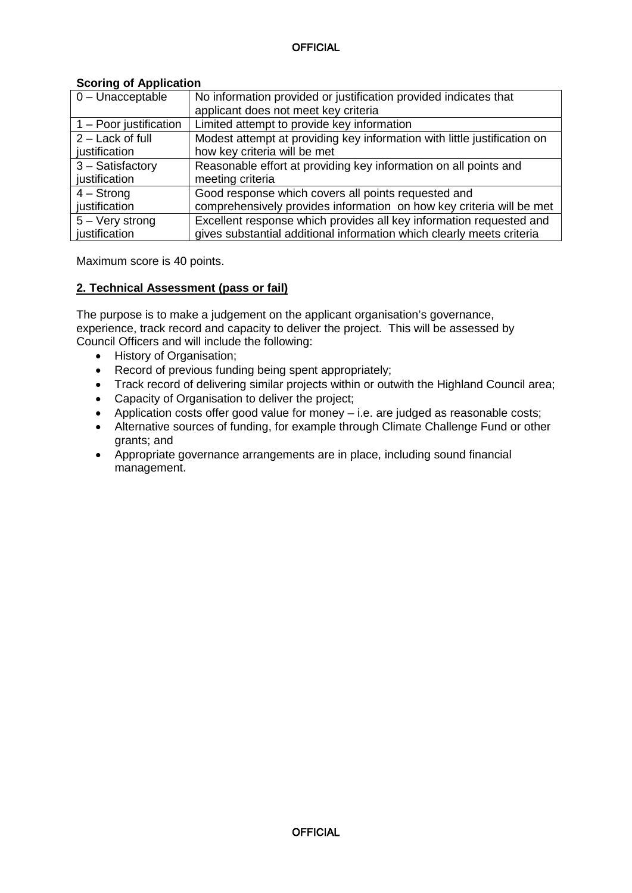| $0$ – Unacceptable     | No information provided or justification provided indicates that         |
|------------------------|--------------------------------------------------------------------------|
|                        | applicant does not meet key criteria                                     |
| 1 - Poor justification | Limited attempt to provide key information                               |
| 2 - Lack of full       | Modest attempt at providing key information with little justification on |
| justification          | how key criteria will be met                                             |
| 3 - Satisfactory       | Reasonable effort at providing key information on all points and         |
| justification          | meeting criteria                                                         |
| $4 -$ Strong           | Good response which covers all points requested and                      |
| justification          | comprehensively provides information on how key criteria will be met     |
| $5 -$ Very strong      | Excellent response which provides all key information requested and      |
| justification          | gives substantial additional information which clearly meets criteria    |

#### **Scoring of Application**

Maximum score is 40 points.

### **2. Technical Assessment (pass or fail)**

The purpose is to make a judgement on the applicant organisation's governance, experience, track record and capacity to deliver the project. This will be assessed by Council Officers and will include the following:

- History of Organisation;
- Record of previous funding being spent appropriately;
- Track record of delivering similar projects within or outwith the Highland Council area;
- Capacity of Organisation to deliver the project;
- Application costs offer good value for money i.e. are judged as reasonable costs;
- Alternative sources of funding, for example through Climate Challenge Fund or other grants; and
- Appropriate governance arrangements are in place, including sound financial management.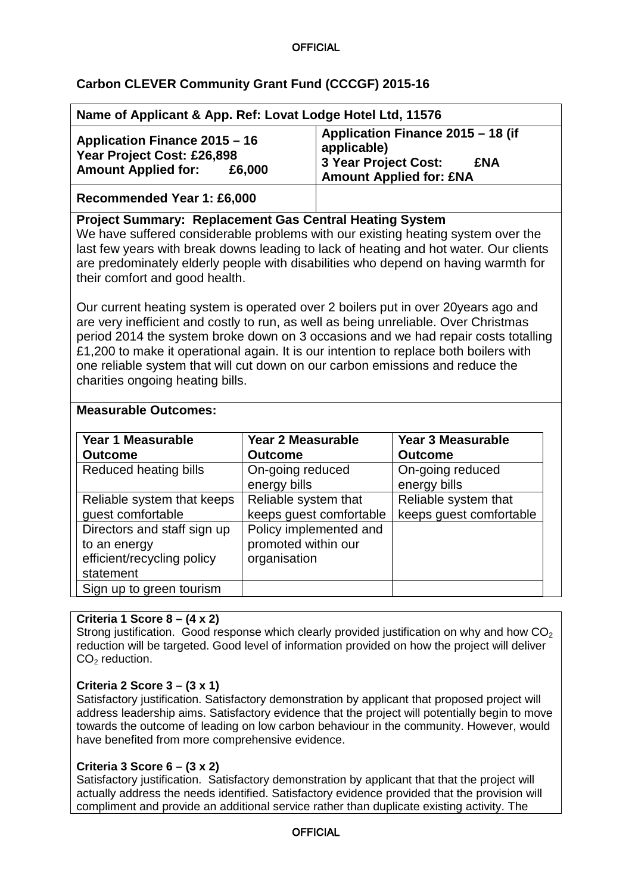### **OFFICIAL**

## **Carbon CLEVER Community Grant Fund (CCCGF) 2015-16**

|                                                                                                                                                                                                                                                                                                                                                                                                                                                                                                                                                                                                                                                                                                                                                                                                                                                      | Name of Applicant & App. Ref: Lovat Lodge Hotel Ltd, 11576     |                                                                                                                          |                                                                 |  |
|------------------------------------------------------------------------------------------------------------------------------------------------------------------------------------------------------------------------------------------------------------------------------------------------------------------------------------------------------------------------------------------------------------------------------------------------------------------------------------------------------------------------------------------------------------------------------------------------------------------------------------------------------------------------------------------------------------------------------------------------------------------------------------------------------------------------------------------------------|----------------------------------------------------------------|--------------------------------------------------------------------------------------------------------------------------|-----------------------------------------------------------------|--|
| Application Finance 2015 - 16<br>Year Project Cost: £26,898<br><b>Amount Applied for:</b><br>£6,000                                                                                                                                                                                                                                                                                                                                                                                                                                                                                                                                                                                                                                                                                                                                                  |                                                                | Application Finance 2015 - 18 (if<br>applicable)<br>3 Year Project Cost:<br><b>£NA</b><br><b>Amount Applied for: £NA</b> |                                                                 |  |
| Recommended Year 1: £6,000                                                                                                                                                                                                                                                                                                                                                                                                                                                                                                                                                                                                                                                                                                                                                                                                                           |                                                                |                                                                                                                          |                                                                 |  |
| <b>Project Summary: Replacement Gas Central Heating System</b><br>We have suffered considerable problems with our existing heating system over the<br>last few years with break downs leading to lack of heating and hot water. Our clients<br>are predominately elderly people with disabilities who depend on having warmth for<br>their comfort and good health.<br>Our current heating system is operated over 2 boilers put in over 20 years ago and<br>are very inefficient and costly to run, as well as being unreliable. Over Christmas<br>period 2014 the system broke down on 3 occasions and we had repair costs totalling<br>£1,200 to make it operational again. It is our intention to replace both boilers with<br>one reliable system that will cut down on our carbon emissions and reduce the<br>charities ongoing heating bills. |                                                                |                                                                                                                          |                                                                 |  |
| <b>Measurable Outcomes:</b>                                                                                                                                                                                                                                                                                                                                                                                                                                                                                                                                                                                                                                                                                                                                                                                                                          |                                                                |                                                                                                                          |                                                                 |  |
| <b>Year 1 Measurable</b><br><b>Outcome</b><br>Reduced heating bills                                                                                                                                                                                                                                                                                                                                                                                                                                                                                                                                                                                                                                                                                                                                                                                  | <b>Year 2 Measurable</b><br><b>Outcome</b><br>On-going reduced |                                                                                                                          | <b>Year 3 Measurable</b><br><b>Outcome</b><br>On-going reduced  |  |
| Reliable system that keeps<br>guest comfortable                                                                                                                                                                                                                                                                                                                                                                                                                                                                                                                                                                                                                                                                                                                                                                                                      | energy bills<br>Reliable system that                           | keeps guest comfortable                                                                                                  | energy bills<br>Reliable system that<br>keeps guest comfortable |  |
| Directors and staff sign up<br>to an energy<br>efficient/recycling policy<br>statement<br>Sign up to green tourism                                                                                                                                                                                                                                                                                                                                                                                                                                                                                                                                                                                                                                                                                                                                   | Policy implemented and<br>promoted within our<br>organisation  |                                                                                                                          |                                                                 |  |

### **Criteria 1 Score 8 – (4 x 2)**

Strong justification. Good response which clearly provided justification on why and how  $CO<sub>2</sub>$ reduction will be targeted. Good level of information provided on how the project will deliver  $CO<sub>2</sub>$  reduction.

### **Criteria 2 Score 3 – (3 x 1)**

Satisfactory justification. Satisfactory demonstration by applicant that proposed project will address leadership aims. Satisfactory evidence that the project will potentially begin to move towards the outcome of leading on low carbon behaviour in the community. However, would have benefited from more comprehensive evidence.

### **Criteria 3 Score 6 – (3 x 2)**

Satisfactory justification. Satisfactory demonstration by applicant that that the project will actually address the needs identified. Satisfactory evidence provided that the provision will compliment and provide an additional service rather than duplicate existing activity. The